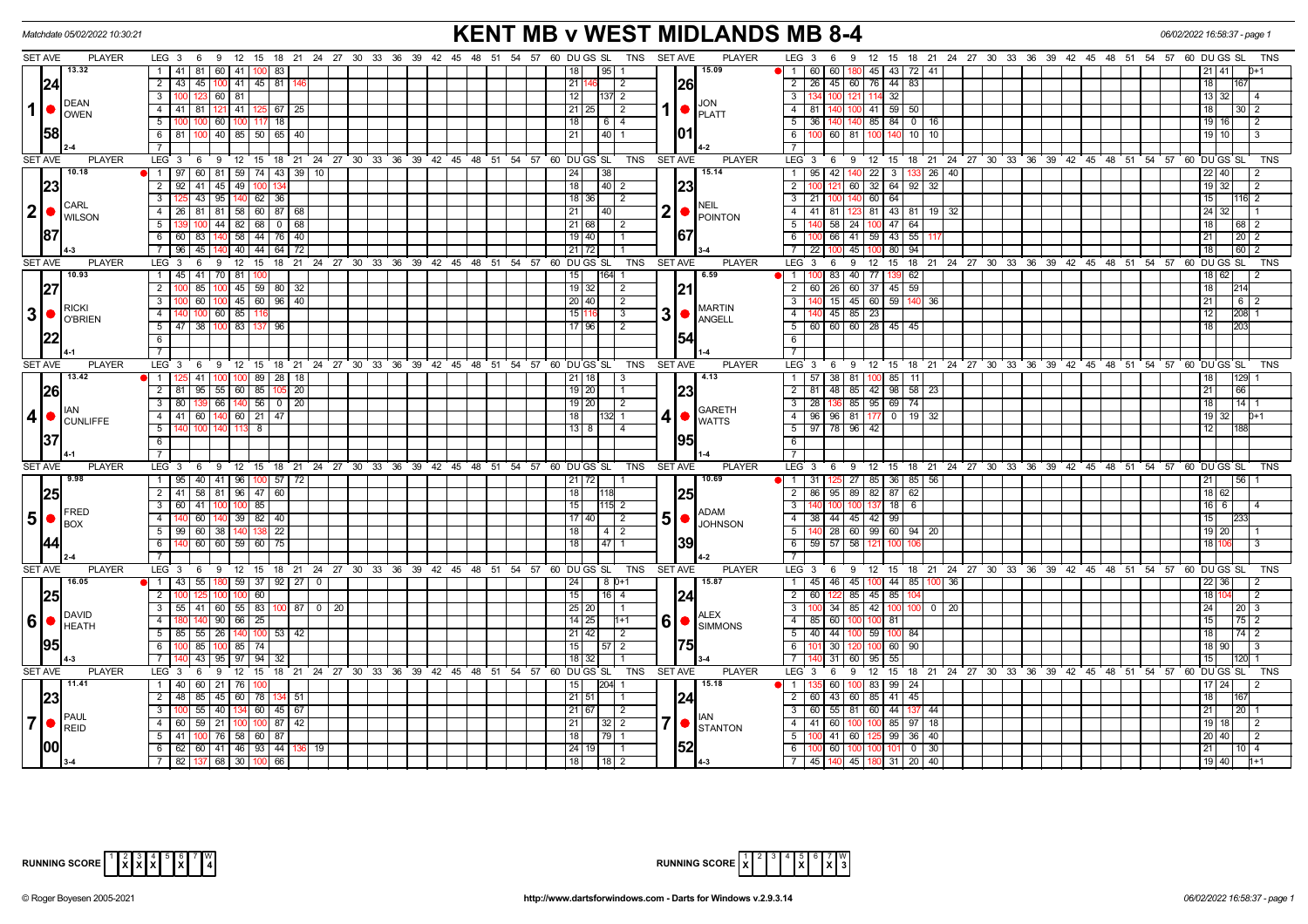| <b>SET AVE</b><br>LEG 3 6 9 12 15 18 21 24 27 30 33 36 39 42 45 48 51 54 57 60 DUGS SL TNS SETAVE<br><b>PLAYER</b><br>LEG <sub>3</sub><br><b>PLAYER</b><br>9 12 15 18 21 24 27 30 33 36 39 42 45 48 51 54 57 60 DU GS SL<br>6<br>TNS<br>13.32<br>1   41   81   60   41  <br>15.09<br>80 45 43 72 41<br>83<br>18<br>95<br>60<br>60<br>$\blacksquare$<br>26<br>2 26 45 60 76 44 83<br> 24 <br>2   43   45   100   41   45   81  <br>21<br>l 2<br>18<br>60 81<br>12<br>$+32$<br>$\mathbf{3}$<br>123<br>$137 \mid 2 \mid$<br>$\mathbf{3}$<br>$100$ 121<br>114<br>13 32<br><b>DEAN</b><br><b>JON</b><br>1 <sup>1</sup><br>140 100 41 59 50<br>4 41 81 121 41<br>$125$ 67 25<br>21<br>$25$   2<br>$1$ $\bullet$ $\overline{P}$ $\overline{P}$ $\overline{P}$<br>4 81<br>$30\sqrt{2}$<br>18 I<br><b>OWEN</b><br>5<br>60 100<br>18<br> 18 <br>$6 \mid 4$<br>$5 \overline{36}$<br>140 140 85 84 0 16<br>19   16<br>117<br>58<br><b>101</b><br>100 40 85 50 65 40<br>$6 \mid 81$<br>6<br>60 81 100<br>$10$ 10<br>21<br> 40  1<br>  19   10  <br><b>SET AVE</b><br><b>PLAYER</b><br>LEG <sup>3</sup><br>9 12 15 18 21 24 27 30 33 36 39 42 45 48 51 54 57 60 DUGSSL<br><b>TNS</b><br><b>SET AVE</b><br><b>PLAYER</b><br>$LEG \ 3$<br>9 12 15 18 21 24 27 30 33 36 39 42 45 48 51 54 57<br>60 DU GS SL<br><b>TNS</b><br>6<br>6<br>10.18<br>1   97   60   81   59   74   43   39   10<br>15.14<br>$95$   42   140   22   3   133   26   40  <br>38<br>$22$ 40<br>24<br>$\overline{1}$<br>2 92 41 45 49<br>18<br> 23<br>121 60 32 64 92 32<br> 23 <br>100<br>$\vert 40 \vert 2$<br>$\overline{2}$<br>$19$ 32<br>$\overline{2}$<br>43 95 140 62 36<br>$3$   21   100   140   60   64  <br>$18 \mid 36 \mid$ 2<br>$3 \mid 12$<br>$116$ 2<br>  15  <br><b>CARL</b><br>NEIL<br>$ 2  \bullet  _{\text{WILSON}}^{\text{CARL}}$<br>2 <sub>1</sub><br>4   26   81   81   58   60   87   68<br>4 41 81 123 81 43 81 19 32<br>21<br> 40 <br>24 32<br>$\bullet$ POINTON<br>$100 \mid 44 \mid 82 \mid 68 \mid 0 \mid 68$<br>21 68 2<br>140 58 24 100 47 64<br>5 1 13<br>5<br>18 L<br> 68 2<br>87<br>67<br>6   60   83<br>140 58 44 76 40<br>66 41 59 43 55<br>$19$ 40<br>21<br>$\boxed{20}$ 2<br> 60 2<br>45<br>140 40 44 64 72<br>21<br>22<br>$\sqrt{45}$<br>80<br>94<br>$ 18\rangle$<br>7   96  <br>72<br><b>SET AVE</b><br><b>PLAYER</b><br>LEG <sup>3</sup><br>$12^{-}$<br>15<br>18 21 24 27 30 33 36 39 42 45 48 51 54 57 60 DUGS SL<br><b>TNS</b><br><b>SET AVE</b><br><b>PLAYER</b><br>LEG <sub>3</sub><br>$12 \quad 15$<br>18 21 24 27 30 33 36 39 42 45 48 51 54 57<br>60 DU GS SL<br><b>TNS</b><br>6<br>9<br>6<br>9<br>10.93<br>1 45 41 70 81<br>15<br>6.59<br>83 40 77 139<br>62<br>164 1<br>$\overline{1}$<br>18 62 <br>100<br> 27 <br> 21 <br>$100$ 45 59 80 32<br>2 60 26 60 37 45 59<br>$2$ 10<br>85<br>l 18 I<br> 214 <br>$100$ 45 60 96 40<br>20 40<br>3 140 15 45 60 59 140 36<br>3<br>60<br>$\overline{2}$<br>21<br>6 2<br><b>RICKI</b><br><b>MARTIN</b><br>$3 \nvert \nvert$ $\bigcirc$ RIGNIEN<br>31<br>$\overline{4}$<br>60 85<br>15<br>$\bigcap_{\mathsf{ANSELL}}$<br>$-4$<br>45 85 23<br>208 1<br>$\sqrt{3}$<br>60 60 60 28 45 45<br>$5 \mid 47 \mid$<br>38<br> 83 <br>96<br>17 96<br>$\overline{2}$<br>5 <sup>5</sup><br>203<br>137 I<br> 22 <br>154<br>$6\overline{6}$<br>$6\overline{6}$<br>$\overline{7}$<br>$7\phantom{.}$<br><b>SET AVE</b><br>LEG 3 6 9 12 15 18 21 24 27 30 33 36 39 42 45 48 51 54 57 60 DUGS SL<br><b>PLAYER</b><br>LEG <sub>3</sub><br><b>PLAYER</b><br>TNS<br><b>SET AVE</b><br>6 9 12 15 18 21 24 27 30 33 36 39 42 45 48 51 54 57 60 DUGS SL<br>TNS<br>13.42<br>14.13<br>$1 \mid 12$<br>41<br>89<br>28<br>21<br>$1 \mid 57$<br>38 81<br>85<br>129<br>18<br>18 <sup>1</sup><br>100<br>11<br>- 3<br>23<br>26<br>2   81   95   55   60   85  <br>$19$ 20<br>2 81 48 85 42 98 58 23<br>-20<br>21<br>66<br>66   140   56   0   20<br>136 85 95 69<br>$\mathbf{3}$<br>80<br>19 20<br>$\sqrt{2}$<br>$\overline{\mathbf{3}}$<br>28<br>74<br>14<br><b>GARETH</b><br>4 •<br>4 96 96 81 177<br>$4$   41  <br>60 140 60 21 47<br>$0$ 19 32<br>18 <sup>1</sup><br>132 1<br>  19   32  <br>$D+1$<br>$\bullet$ WATTS<br><b>CUNLIFFE</b><br>5 97 78 96 42<br>5 <sup>1</sup><br>$13$ 8<br>$\overline{14}$<br>-8<br> 37 <br>195<br>6<br>6<br>$\overline{7}$<br>$\overline{7}$<br><b>SET AVE</b><br><b>PLAYER</b><br><b>TNS</b><br><b>SET AVE</b><br><b>PLAYER</b><br>$LEG \ 3$<br>$12$ 15 18 21 24 27 30 33<br>36<br>39 42 45 48 51<br>54 57 60 DU GS SL<br>LEG <sub>3</sub><br>12 15<br>18 21 24 27 30 33 36<br>39 42 45 48 51 54 57<br>60 DUGS SL<br><b>TNS</b><br>- 6<br>- 9<br>6<br>- 9<br>  31   125   27   85   36   85   56<br>19.98<br>1   95   40   41   96   100   57   72<br>10.69<br>21   72  <br> 21 <br>56<br>$\overline{1}$<br>2 41 58 81 96 47 60<br>18<br>95 89 82 87 62<br>25<br>25<br>$\overline{2}$<br>86<br>18 62<br>85<br>15<br>$115$ 2<br>$18$ 6<br>3   60<br>41<br>$16$ 6<br>$\mathbf{3}$<br>FRED<br><b>ADAM</b><br>$5\bullet$<br>51<br>60 140 39 82 40<br>17 40  <br>38 44 45 42 99<br>4   140<br>$\vert$ 2<br>$\overline{4}$<br>JOHNSON<br><b>BOX</b><br>138 22<br>5   140   28   60   99   60   94   20<br>5   99   60   38   140  <br>  18  <br> 4 2<br>19 20<br>139<br>6 59 57 58 12<br>60 60 59 60<br>$\overline{75}$<br>18<br>6<br>$47$ 1<br><b>PLAYER</b><br>$LEG_3$ 6<br>9 12 15 18 21 24 27 30 33 36 39 42 45 48 51 54 57 60 DU GS SL  TNS<br><b>SET AVE</b><br><b>PLAYER</b><br>12 15 18 21 24 27 30 33 36 39 42 45 48 51 54 57 60 DUGS SL<br><b>SET AVE</b><br>LEG <sup>3</sup><br>6 <sup>9</sup><br><b>TNS</b><br>16.05<br>1114355118055913792270<br>45 46 45 100 44 85 100 36<br>24<br>$\sqrt{18} D + 1$<br>15.87<br>22 36 <br>$\overline{1}$<br>2<br>15<br> 24 <br>$\overline{2}$<br>122 85 45 85<br>25<br>60<br>$16 \mid 4$<br>60<br>2 <sup>1</sup><br>  18   10<br>$3$   55   41   60   55   83   100   87   0   20<br>25 20 <br>3 100 34 85 42 100 100 0 20<br>24<br>  20   3<br><b>ALEX</b><br>$6\bullet$ $\bullet$ HEATH<br>6<br>90   66   25<br>$\overline{4}$<br>4 85 60 100 100 81<br>$75$   2<br>140<br>  14   25  <br>$1 + 1$<br>$\bigcirc$ $\bigcirc$ SIMMONS<br>$5$ 85 55 26 140<br>$5$ 40 44 100 59 100 84<br>$100$ 53 42<br>21   42  <br>$\vert$ 2<br>18 <sup>1</sup><br> 75 <br>95<br>$6$   100   85  <br>$100$ 85 $74$<br>15<br>$57$   2<br>30<br>60 90<br>6<br>100<br>18   90<br>3<br> 18 <br>55<br>$7 \mid 14$<br>43 95 97 94<br>$\overline{7}$<br>$31 \ 60$<br>95<br>-32<br><b>SET AVE</b><br><b>PLAYER</b><br>LEG 3 6 9 12 15 18 21 24 27 30 33 36 39 42 45 48 51 54 57 60 DUGS SL TNS<br><b>SET AVE</b><br><b>PLAYER</b><br>LEG <sub>3</sub><br>6 9 12 15 18 21 24 27 30 33 36 39 42 45 48 51 54 57 60 DUGS SL<br><b>TNS</b><br>11.41<br>15.18<br>1 40 60 21 76<br>15<br>204<br>$-1$<br>60 I<br>83<br>99 24<br>$17$   24<br> 24 <br>23<br>2   48   85   45   60   78   134   51<br>2 60 43 60 85 41 45<br>$21 \, 51$<br>18 I<br>167<br>$\overline{1}$ 1<br>40   134   60   45   67<br>60 55 81 60 44 137 44<br>3<br>55<br>21 67<br>$\vert$ 2<br>3<br>21<br>20<br>PAUL<br>l IAN<br> 7 <br>$7$ $\bullet$ $\left  \bullet \right $ stanton<br>4   60   59   21   100<br>$100$ 87 42<br>$32 \mid 2$<br>4 41 60 100 100 85 97 18<br>l 21<br>  19   18  <br>l 2<br><b>REID</b><br>$5$   41   100   76   58   60   87<br>41 60 125 99 36 40<br>18<br>20 40<br>5<br>100<br>l 2<br>52<br>1001<br>6 6 62 60 41 46 93 44 136<br>100 60 100 100 101 0 30<br>24 19 1<br>6<br> 21 <br>$110$ 4<br>19<br>$7$ 82 137 68 30 100 66<br> 18 <br>7 45 140 45 180 31 20 40<br>  19   40  <br> 18 2<br>$I4-3$<br>$h+1$ | <b>KENT MB v WEST MIDLANDS MB 8-4</b><br>Matchdate 05/02/2022 10:30:21<br>06/02/2022 16:58:37 - page 1 |  |  |  |  |  |  |  |  |  |
|-----------------------------------------------------------------------------------------------------------------------------------------------------------------------------------------------------------------------------------------------------------------------------------------------------------------------------------------------------------------------------------------------------------------------------------------------------------------------------------------------------------------------------------------------------------------------------------------------------------------------------------------------------------------------------------------------------------------------------------------------------------------------------------------------------------------------------------------------------------------------------------------------------------------------------------------------------------------------------------------------------------------------------------------------------------------------------------------------------------------------------------------------------------------------------------------------------------------------------------------------------------------------------------------------------------------------------------------------------------------------------------------------------------------------------------------------------------------------------------------------------------------------------------------------------------------------------------------------------------------------------------------------------------------------------------------------------------------------------------------------------------------------------------------------------------------------------------------------------------------------------------------------------------------------------------------------------------------------------------------------------------------------------------------------------------------------------------------------------------------------------------------------------------------------------------------------------------------------------------------------------------------------------------------------------------------------------------------------------------------------------------------------------------------------------------------------------------------------------------------------------------------------------------------------------------------------------------------------------------------------------------------------------------------------------------------------------------------------------------------------------------------------------------------------------------------------------------------------------------------------------------------------------------------------------------------------------------------------------------------------------------------------------------------------------------------------------------------------------------------------------------------------------------------------------------------------------------------------------------------------------------------------------------------------------------------------------------------------------------------------------------------------------------------------------------------------------------------------------------------------------------------------------------------------------------------------------------------------------------------------------------------------------------------------------------------------------------------------------------------------------------------------------------------------------------------------------------------------------------------------------------------------------------------------------------------------------------------------------------------------------------------------------------------------------------------------------------------------------------------------------------------------------------------------------------------------------------------------------------------------------------------------------------------------------------------------------------------------------------------------------------------------------------------------------------------------------------------------------------------------------------------------------------------------------------------------------------------------------------------------------------------------------------------------------------------------------------------------------------------------------------------------------------------------------------------------------------------------------------------------------------------------------------------------------------------------------------------------------------------------------------------------------------------------------------------------------------------------------------------------------------------------------------------------------------------------------------------------------------------------------------------------------------------------------------------------------------------------------------------------------------------------------------------------------------------------------------------------------------------------------------------------------------------------------------------------------------------------------------------------------------------------------------------------------------------------------------------------------------------------------------------------------------------------------------------------------------------------------------------------------------------------------------------------------------------------------------------------------------------------------------------------------------------------------------------------------------------------------------------------------------------------------------------------------------------------------------------------------------------------------------------------------------------------------------------------------------------------------------------------------------------------------------------------------------------------------------------------------------------------------------------------------------------------------------------------------------------------------------------------------------------------------------------------------------------------------------------------------------------------------------------------------------------------------------------------------------------------------------------------------------------------------------------------------------------------------------------------------------------------------------------------------------------------------------------------------------------------------------------------------------------------------------------------------------------------------------------------------------------------------------------------------------------------------------------------------------------------------------------------------------------------------------------------------------------------------------------------------------------------------------------------------------------------------------------------|--------------------------------------------------------------------------------------------------------|--|--|--|--|--|--|--|--|--|
|                                                                                                                                                                                                                                                                                                                                                                                                                                                                                                                                                                                                                                                                                                                                                                                                                                                                                                                                                                                                                                                                                                                                                                                                                                                                                                                                                                                                                                                                                                                                                                                                                                                                                                                                                                                                                                                                                                                                                                                                                                                                                                                                                                                                                                                                                                                                                                                                                                                                                                                                                                                                                                                                                                                                                                                                                                                                                                                                                                                                                                                                                                                                                                                                                                                                                                                                                                                                                                                                                                                                                                                                                                                                                                                                                                                                                                                                                                                                                                                                                                                                                                                                                                                                                                                                                                                                                                                                                                                                                                                                                                                                                                                                                                                                                                                                                                                                                                                                                                                                                                                                                                                                                                                                                                                                                                                                                                                                                                                                                                                                                                                                                                                                                                                                                                                                                                                                                                                                                                                                                                                                                                                                                                                                                                                                                                                                                                                                                                                                                                                                                                                                                                                                                                                                                                                                                                                                                                                                                                                                                                                                                                                                                                                                                                                                                                                                                                                                                                                                                                                                                                       |                                                                                                        |  |  |  |  |  |  |  |  |  |
|                                                                                                                                                                                                                                                                                                                                                                                                                                                                                                                                                                                                                                                                                                                                                                                                                                                                                                                                                                                                                                                                                                                                                                                                                                                                                                                                                                                                                                                                                                                                                                                                                                                                                                                                                                                                                                                                                                                                                                                                                                                                                                                                                                                                                                                                                                                                                                                                                                                                                                                                                                                                                                                                                                                                                                                                                                                                                                                                                                                                                                                                                                                                                                                                                                                                                                                                                                                                                                                                                                                                                                                                                                                                                                                                                                                                                                                                                                                                                                                                                                                                                                                                                                                                                                                                                                                                                                                                                                                                                                                                                                                                                                                                                                                                                                                                                                                                                                                                                                                                                                                                                                                                                                                                                                                                                                                                                                                                                                                                                                                                                                                                                                                                                                                                                                                                                                                                                                                                                                                                                                                                                                                                                                                                                                                                                                                                                                                                                                                                                                                                                                                                                                                                                                                                                                                                                                                                                                                                                                                                                                                                                                                                                                                                                                                                                                                                                                                                                                                                                                                                                                       |                                                                                                        |  |  |  |  |  |  |  |  |  |
|                                                                                                                                                                                                                                                                                                                                                                                                                                                                                                                                                                                                                                                                                                                                                                                                                                                                                                                                                                                                                                                                                                                                                                                                                                                                                                                                                                                                                                                                                                                                                                                                                                                                                                                                                                                                                                                                                                                                                                                                                                                                                                                                                                                                                                                                                                                                                                                                                                                                                                                                                                                                                                                                                                                                                                                                                                                                                                                                                                                                                                                                                                                                                                                                                                                                                                                                                                                                                                                                                                                                                                                                                                                                                                                                                                                                                                                                                                                                                                                                                                                                                                                                                                                                                                                                                                                                                                                                                                                                                                                                                                                                                                                                                                                                                                                                                                                                                                                                                                                                                                                                                                                                                                                                                                                                                                                                                                                                                                                                                                                                                                                                                                                                                                                                                                                                                                                                                                                                                                                                                                                                                                                                                                                                                                                                                                                                                                                                                                                                                                                                                                                                                                                                                                                                                                                                                                                                                                                                                                                                                                                                                                                                                                                                                                                                                                                                                                                                                                                                                                                                                                       |                                                                                                        |  |  |  |  |  |  |  |  |  |
|                                                                                                                                                                                                                                                                                                                                                                                                                                                                                                                                                                                                                                                                                                                                                                                                                                                                                                                                                                                                                                                                                                                                                                                                                                                                                                                                                                                                                                                                                                                                                                                                                                                                                                                                                                                                                                                                                                                                                                                                                                                                                                                                                                                                                                                                                                                                                                                                                                                                                                                                                                                                                                                                                                                                                                                                                                                                                                                                                                                                                                                                                                                                                                                                                                                                                                                                                                                                                                                                                                                                                                                                                                                                                                                                                                                                                                                                                                                                                                                                                                                                                                                                                                                                                                                                                                                                                                                                                                                                                                                                                                                                                                                                                                                                                                                                                                                                                                                                                                                                                                                                                                                                                                                                                                                                                                                                                                                                                                                                                                                                                                                                                                                                                                                                                                                                                                                                                                                                                                                                                                                                                                                                                                                                                                                                                                                                                                                                                                                                                                                                                                                                                                                                                                                                                                                                                                                                                                                                                                                                                                                                                                                                                                                                                                                                                                                                                                                                                                                                                                                                                                       |                                                                                                        |  |  |  |  |  |  |  |  |  |
|                                                                                                                                                                                                                                                                                                                                                                                                                                                                                                                                                                                                                                                                                                                                                                                                                                                                                                                                                                                                                                                                                                                                                                                                                                                                                                                                                                                                                                                                                                                                                                                                                                                                                                                                                                                                                                                                                                                                                                                                                                                                                                                                                                                                                                                                                                                                                                                                                                                                                                                                                                                                                                                                                                                                                                                                                                                                                                                                                                                                                                                                                                                                                                                                                                                                                                                                                                                                                                                                                                                                                                                                                                                                                                                                                                                                                                                                                                                                                                                                                                                                                                                                                                                                                                                                                                                                                                                                                                                                                                                                                                                                                                                                                                                                                                                                                                                                                                                                                                                                                                                                                                                                                                                                                                                                                                                                                                                                                                                                                                                                                                                                                                                                                                                                                                                                                                                                                                                                                                                                                                                                                                                                                                                                                                                                                                                                                                                                                                                                                                                                                                                                                                                                                                                                                                                                                                                                                                                                                                                                                                                                                                                                                                                                                                                                                                                                                                                                                                                                                                                                                                       |                                                                                                        |  |  |  |  |  |  |  |  |  |
|                                                                                                                                                                                                                                                                                                                                                                                                                                                                                                                                                                                                                                                                                                                                                                                                                                                                                                                                                                                                                                                                                                                                                                                                                                                                                                                                                                                                                                                                                                                                                                                                                                                                                                                                                                                                                                                                                                                                                                                                                                                                                                                                                                                                                                                                                                                                                                                                                                                                                                                                                                                                                                                                                                                                                                                                                                                                                                                                                                                                                                                                                                                                                                                                                                                                                                                                                                                                                                                                                                                                                                                                                                                                                                                                                                                                                                                                                                                                                                                                                                                                                                                                                                                                                                                                                                                                                                                                                                                                                                                                                                                                                                                                                                                                                                                                                                                                                                                                                                                                                                                                                                                                                                                                                                                                                                                                                                                                                                                                                                                                                                                                                                                                                                                                                                                                                                                                                                                                                                                                                                                                                                                                                                                                                                                                                                                                                                                                                                                                                                                                                                                                                                                                                                                                                                                                                                                                                                                                                                                                                                                                                                                                                                                                                                                                                                                                                                                                                                                                                                                                                                       |                                                                                                        |  |  |  |  |  |  |  |  |  |
|                                                                                                                                                                                                                                                                                                                                                                                                                                                                                                                                                                                                                                                                                                                                                                                                                                                                                                                                                                                                                                                                                                                                                                                                                                                                                                                                                                                                                                                                                                                                                                                                                                                                                                                                                                                                                                                                                                                                                                                                                                                                                                                                                                                                                                                                                                                                                                                                                                                                                                                                                                                                                                                                                                                                                                                                                                                                                                                                                                                                                                                                                                                                                                                                                                                                                                                                                                                                                                                                                                                                                                                                                                                                                                                                                                                                                                                                                                                                                                                                                                                                                                                                                                                                                                                                                                                                                                                                                                                                                                                                                                                                                                                                                                                                                                                                                                                                                                                                                                                                                                                                                                                                                                                                                                                                                                                                                                                                                                                                                                                                                                                                                                                                                                                                                                                                                                                                                                                                                                                                                                                                                                                                                                                                                                                                                                                                                                                                                                                                                                                                                                                                                                                                                                                                                                                                                                                                                                                                                                                                                                                                                                                                                                                                                                                                                                                                                                                                                                                                                                                                                                       |                                                                                                        |  |  |  |  |  |  |  |  |  |
|                                                                                                                                                                                                                                                                                                                                                                                                                                                                                                                                                                                                                                                                                                                                                                                                                                                                                                                                                                                                                                                                                                                                                                                                                                                                                                                                                                                                                                                                                                                                                                                                                                                                                                                                                                                                                                                                                                                                                                                                                                                                                                                                                                                                                                                                                                                                                                                                                                                                                                                                                                                                                                                                                                                                                                                                                                                                                                                                                                                                                                                                                                                                                                                                                                                                                                                                                                                                                                                                                                                                                                                                                                                                                                                                                                                                                                                                                                                                                                                                                                                                                                                                                                                                                                                                                                                                                                                                                                                                                                                                                                                                                                                                                                                                                                                                                                                                                                                                                                                                                                                                                                                                                                                                                                                                                                                                                                                                                                                                                                                                                                                                                                                                                                                                                                                                                                                                                                                                                                                                                                                                                                                                                                                                                                                                                                                                                                                                                                                                                                                                                                                                                                                                                                                                                                                                                                                                                                                                                                                                                                                                                                                                                                                                                                                                                                                                                                                                                                                                                                                                                                       |                                                                                                        |  |  |  |  |  |  |  |  |  |
|                                                                                                                                                                                                                                                                                                                                                                                                                                                                                                                                                                                                                                                                                                                                                                                                                                                                                                                                                                                                                                                                                                                                                                                                                                                                                                                                                                                                                                                                                                                                                                                                                                                                                                                                                                                                                                                                                                                                                                                                                                                                                                                                                                                                                                                                                                                                                                                                                                                                                                                                                                                                                                                                                                                                                                                                                                                                                                                                                                                                                                                                                                                                                                                                                                                                                                                                                                                                                                                                                                                                                                                                                                                                                                                                                                                                                                                                                                                                                                                                                                                                                                                                                                                                                                                                                                                                                                                                                                                                                                                                                                                                                                                                                                                                                                                                                                                                                                                                                                                                                                                                                                                                                                                                                                                                                                                                                                                                                                                                                                                                                                                                                                                                                                                                                                                                                                                                                                                                                                                                                                                                                                                                                                                                                                                                                                                                                                                                                                                                                                                                                                                                                                                                                                                                                                                                                                                                                                                                                                                                                                                                                                                                                                                                                                                                                                                                                                                                                                                                                                                                                                       |                                                                                                        |  |  |  |  |  |  |  |  |  |
|                                                                                                                                                                                                                                                                                                                                                                                                                                                                                                                                                                                                                                                                                                                                                                                                                                                                                                                                                                                                                                                                                                                                                                                                                                                                                                                                                                                                                                                                                                                                                                                                                                                                                                                                                                                                                                                                                                                                                                                                                                                                                                                                                                                                                                                                                                                                                                                                                                                                                                                                                                                                                                                                                                                                                                                                                                                                                                                                                                                                                                                                                                                                                                                                                                                                                                                                                                                                                                                                                                                                                                                                                                                                                                                                                                                                                                                                                                                                                                                                                                                                                                                                                                                                                                                                                                                                                                                                                                                                                                                                                                                                                                                                                                                                                                                                                                                                                                                                                                                                                                                                                                                                                                                                                                                                                                                                                                                                                                                                                                                                                                                                                                                                                                                                                                                                                                                                                                                                                                                                                                                                                                                                                                                                                                                                                                                                                                                                                                                                                                                                                                                                                                                                                                                                                                                                                                                                                                                                                                                                                                                                                                                                                                                                                                                                                                                                                                                                                                                                                                                                                                       |                                                                                                        |  |  |  |  |  |  |  |  |  |
|                                                                                                                                                                                                                                                                                                                                                                                                                                                                                                                                                                                                                                                                                                                                                                                                                                                                                                                                                                                                                                                                                                                                                                                                                                                                                                                                                                                                                                                                                                                                                                                                                                                                                                                                                                                                                                                                                                                                                                                                                                                                                                                                                                                                                                                                                                                                                                                                                                                                                                                                                                                                                                                                                                                                                                                                                                                                                                                                                                                                                                                                                                                                                                                                                                                                                                                                                                                                                                                                                                                                                                                                                                                                                                                                                                                                                                                                                                                                                                                                                                                                                                                                                                                                                                                                                                                                                                                                                                                                                                                                                                                                                                                                                                                                                                                                                                                                                                                                                                                                                                                                                                                                                                                                                                                                                                                                                                                                                                                                                                                                                                                                                                                                                                                                                                                                                                                                                                                                                                                                                                                                                                                                                                                                                                                                                                                                                                                                                                                                                                                                                                                                                                                                                                                                                                                                                                                                                                                                                                                                                                                                                                                                                                                                                                                                                                                                                                                                                                                                                                                                                                       |                                                                                                        |  |  |  |  |  |  |  |  |  |
|                                                                                                                                                                                                                                                                                                                                                                                                                                                                                                                                                                                                                                                                                                                                                                                                                                                                                                                                                                                                                                                                                                                                                                                                                                                                                                                                                                                                                                                                                                                                                                                                                                                                                                                                                                                                                                                                                                                                                                                                                                                                                                                                                                                                                                                                                                                                                                                                                                                                                                                                                                                                                                                                                                                                                                                                                                                                                                                                                                                                                                                                                                                                                                                                                                                                                                                                                                                                                                                                                                                                                                                                                                                                                                                                                                                                                                                                                                                                                                                                                                                                                                                                                                                                                                                                                                                                                                                                                                                                                                                                                                                                                                                                                                                                                                                                                                                                                                                                                                                                                                                                                                                                                                                                                                                                                                                                                                                                                                                                                                                                                                                                                                                                                                                                                                                                                                                                                                                                                                                                                                                                                                                                                                                                                                                                                                                                                                                                                                                                                                                                                                                                                                                                                                                                                                                                                                                                                                                                                                                                                                                                                                                                                                                                                                                                                                                                                                                                                                                                                                                                                                       |                                                                                                        |  |  |  |  |  |  |  |  |  |
|                                                                                                                                                                                                                                                                                                                                                                                                                                                                                                                                                                                                                                                                                                                                                                                                                                                                                                                                                                                                                                                                                                                                                                                                                                                                                                                                                                                                                                                                                                                                                                                                                                                                                                                                                                                                                                                                                                                                                                                                                                                                                                                                                                                                                                                                                                                                                                                                                                                                                                                                                                                                                                                                                                                                                                                                                                                                                                                                                                                                                                                                                                                                                                                                                                                                                                                                                                                                                                                                                                                                                                                                                                                                                                                                                                                                                                                                                                                                                                                                                                                                                                                                                                                                                                                                                                                                                                                                                                                                                                                                                                                                                                                                                                                                                                                                                                                                                                                                                                                                                                                                                                                                                                                                                                                                                                                                                                                                                                                                                                                                                                                                                                                                                                                                                                                                                                                                                                                                                                                                                                                                                                                                                                                                                                                                                                                                                                                                                                                                                                                                                                                                                                                                                                                                                                                                                                                                                                                                                                                                                                                                                                                                                                                                                                                                                                                                                                                                                                                                                                                                                                       |                                                                                                        |  |  |  |  |  |  |  |  |  |
|                                                                                                                                                                                                                                                                                                                                                                                                                                                                                                                                                                                                                                                                                                                                                                                                                                                                                                                                                                                                                                                                                                                                                                                                                                                                                                                                                                                                                                                                                                                                                                                                                                                                                                                                                                                                                                                                                                                                                                                                                                                                                                                                                                                                                                                                                                                                                                                                                                                                                                                                                                                                                                                                                                                                                                                                                                                                                                                                                                                                                                                                                                                                                                                                                                                                                                                                                                                                                                                                                                                                                                                                                                                                                                                                                                                                                                                                                                                                                                                                                                                                                                                                                                                                                                                                                                                                                                                                                                                                                                                                                                                                                                                                                                                                                                                                                                                                                                                                                                                                                                                                                                                                                                                                                                                                                                                                                                                                                                                                                                                                                                                                                                                                                                                                                                                                                                                                                                                                                                                                                                                                                                                                                                                                                                                                                                                                                                                                                                                                                                                                                                                                                                                                                                                                                                                                                                                                                                                                                                                                                                                                                                                                                                                                                                                                                                                                                                                                                                                                                                                                                                       |                                                                                                        |  |  |  |  |  |  |  |  |  |
|                                                                                                                                                                                                                                                                                                                                                                                                                                                                                                                                                                                                                                                                                                                                                                                                                                                                                                                                                                                                                                                                                                                                                                                                                                                                                                                                                                                                                                                                                                                                                                                                                                                                                                                                                                                                                                                                                                                                                                                                                                                                                                                                                                                                                                                                                                                                                                                                                                                                                                                                                                                                                                                                                                                                                                                                                                                                                                                                                                                                                                                                                                                                                                                                                                                                                                                                                                                                                                                                                                                                                                                                                                                                                                                                                                                                                                                                                                                                                                                                                                                                                                                                                                                                                                                                                                                                                                                                                                                                                                                                                                                                                                                                                                                                                                                                                                                                                                                                                                                                                                                                                                                                                                                                                                                                                                                                                                                                                                                                                                                                                                                                                                                                                                                                                                                                                                                                                                                                                                                                                                                                                                                                                                                                                                                                                                                                                                                                                                                                                                                                                                                                                                                                                                                                                                                                                                                                                                                                                                                                                                                                                                                                                                                                                                                                                                                                                                                                                                                                                                                                                                       |                                                                                                        |  |  |  |  |  |  |  |  |  |
|                                                                                                                                                                                                                                                                                                                                                                                                                                                                                                                                                                                                                                                                                                                                                                                                                                                                                                                                                                                                                                                                                                                                                                                                                                                                                                                                                                                                                                                                                                                                                                                                                                                                                                                                                                                                                                                                                                                                                                                                                                                                                                                                                                                                                                                                                                                                                                                                                                                                                                                                                                                                                                                                                                                                                                                                                                                                                                                                                                                                                                                                                                                                                                                                                                                                                                                                                                                                                                                                                                                                                                                                                                                                                                                                                                                                                                                                                                                                                                                                                                                                                                                                                                                                                                                                                                                                                                                                                                                                                                                                                                                                                                                                                                                                                                                                                                                                                                                                                                                                                                                                                                                                                                                                                                                                                                                                                                                                                                                                                                                                                                                                                                                                                                                                                                                                                                                                                                                                                                                                                                                                                                                                                                                                                                                                                                                                                                                                                                                                                                                                                                                                                                                                                                                                                                                                                                                                                                                                                                                                                                                                                                                                                                                                                                                                                                                                                                                                                                                                                                                                                                       |                                                                                                        |  |  |  |  |  |  |  |  |  |
|                                                                                                                                                                                                                                                                                                                                                                                                                                                                                                                                                                                                                                                                                                                                                                                                                                                                                                                                                                                                                                                                                                                                                                                                                                                                                                                                                                                                                                                                                                                                                                                                                                                                                                                                                                                                                                                                                                                                                                                                                                                                                                                                                                                                                                                                                                                                                                                                                                                                                                                                                                                                                                                                                                                                                                                                                                                                                                                                                                                                                                                                                                                                                                                                                                                                                                                                                                                                                                                                                                                                                                                                                                                                                                                                                                                                                                                                                                                                                                                                                                                                                                                                                                                                                                                                                                                                                                                                                                                                                                                                                                                                                                                                                                                                                                                                                                                                                                                                                                                                                                                                                                                                                                                                                                                                                                                                                                                                                                                                                                                                                                                                                                                                                                                                                                                                                                                                                                                                                                                                                                                                                                                                                                                                                                                                                                                                                                                                                                                                                                                                                                                                                                                                                                                                                                                                                                                                                                                                                                                                                                                                                                                                                                                                                                                                                                                                                                                                                                                                                                                                                                       |                                                                                                        |  |  |  |  |  |  |  |  |  |
|                                                                                                                                                                                                                                                                                                                                                                                                                                                                                                                                                                                                                                                                                                                                                                                                                                                                                                                                                                                                                                                                                                                                                                                                                                                                                                                                                                                                                                                                                                                                                                                                                                                                                                                                                                                                                                                                                                                                                                                                                                                                                                                                                                                                                                                                                                                                                                                                                                                                                                                                                                                                                                                                                                                                                                                                                                                                                                                                                                                                                                                                                                                                                                                                                                                                                                                                                                                                                                                                                                                                                                                                                                                                                                                                                                                                                                                                                                                                                                                                                                                                                                                                                                                                                                                                                                                                                                                                                                                                                                                                                                                                                                                                                                                                                                                                                                                                                                                                                                                                                                                                                                                                                                                                                                                                                                                                                                                                                                                                                                                                                                                                                                                                                                                                                                                                                                                                                                                                                                                                                                                                                                                                                                                                                                                                                                                                                                                                                                                                                                                                                                                                                                                                                                                                                                                                                                                                                                                                                                                                                                                                                                                                                                                                                                                                                                                                                                                                                                                                                                                                                                       |                                                                                                        |  |  |  |  |  |  |  |  |  |
|                                                                                                                                                                                                                                                                                                                                                                                                                                                                                                                                                                                                                                                                                                                                                                                                                                                                                                                                                                                                                                                                                                                                                                                                                                                                                                                                                                                                                                                                                                                                                                                                                                                                                                                                                                                                                                                                                                                                                                                                                                                                                                                                                                                                                                                                                                                                                                                                                                                                                                                                                                                                                                                                                                                                                                                                                                                                                                                                                                                                                                                                                                                                                                                                                                                                                                                                                                                                                                                                                                                                                                                                                                                                                                                                                                                                                                                                                                                                                                                                                                                                                                                                                                                                                                                                                                                                                                                                                                                                                                                                                                                                                                                                                                                                                                                                                                                                                                                                                                                                                                                                                                                                                                                                                                                                                                                                                                                                                                                                                                                                                                                                                                                                                                                                                                                                                                                                                                                                                                                                                                                                                                                                                                                                                                                                                                                                                                                                                                                                                                                                                                                                                                                                                                                                                                                                                                                                                                                                                                                                                                                                                                                                                                                                                                                                                                                                                                                                                                                                                                                                                                       |                                                                                                        |  |  |  |  |  |  |  |  |  |
|                                                                                                                                                                                                                                                                                                                                                                                                                                                                                                                                                                                                                                                                                                                                                                                                                                                                                                                                                                                                                                                                                                                                                                                                                                                                                                                                                                                                                                                                                                                                                                                                                                                                                                                                                                                                                                                                                                                                                                                                                                                                                                                                                                                                                                                                                                                                                                                                                                                                                                                                                                                                                                                                                                                                                                                                                                                                                                                                                                                                                                                                                                                                                                                                                                                                                                                                                                                                                                                                                                                                                                                                                                                                                                                                                                                                                                                                                                                                                                                                                                                                                                                                                                                                                                                                                                                                                                                                                                                                                                                                                                                                                                                                                                                                                                                                                                                                                                                                                                                                                                                                                                                                                                                                                                                                                                                                                                                                                                                                                                                                                                                                                                                                                                                                                                                                                                                                                                                                                                                                                                                                                                                                                                                                                                                                                                                                                                                                                                                                                                                                                                                                                                                                                                                                                                                                                                                                                                                                                                                                                                                                                                                                                                                                                                                                                                                                                                                                                                                                                                                                                                       |                                                                                                        |  |  |  |  |  |  |  |  |  |
|                                                                                                                                                                                                                                                                                                                                                                                                                                                                                                                                                                                                                                                                                                                                                                                                                                                                                                                                                                                                                                                                                                                                                                                                                                                                                                                                                                                                                                                                                                                                                                                                                                                                                                                                                                                                                                                                                                                                                                                                                                                                                                                                                                                                                                                                                                                                                                                                                                                                                                                                                                                                                                                                                                                                                                                                                                                                                                                                                                                                                                                                                                                                                                                                                                                                                                                                                                                                                                                                                                                                                                                                                                                                                                                                                                                                                                                                                                                                                                                                                                                                                                                                                                                                                                                                                                                                                                                                                                                                                                                                                                                                                                                                                                                                                                                                                                                                                                                                                                                                                                                                                                                                                                                                                                                                                                                                                                                                                                                                                                                                                                                                                                                                                                                                                                                                                                                                                                                                                                                                                                                                                                                                                                                                                                                                                                                                                                                                                                                                                                                                                                                                                                                                                                                                                                                                                                                                                                                                                                                                                                                                                                                                                                                                                                                                                                                                                                                                                                                                                                                                                                       |                                                                                                        |  |  |  |  |  |  |  |  |  |
|                                                                                                                                                                                                                                                                                                                                                                                                                                                                                                                                                                                                                                                                                                                                                                                                                                                                                                                                                                                                                                                                                                                                                                                                                                                                                                                                                                                                                                                                                                                                                                                                                                                                                                                                                                                                                                                                                                                                                                                                                                                                                                                                                                                                                                                                                                                                                                                                                                                                                                                                                                                                                                                                                                                                                                                                                                                                                                                                                                                                                                                                                                                                                                                                                                                                                                                                                                                                                                                                                                                                                                                                                                                                                                                                                                                                                                                                                                                                                                                                                                                                                                                                                                                                                                                                                                                                                                                                                                                                                                                                                                                                                                                                                                                                                                                                                                                                                                                                                                                                                                                                                                                                                                                                                                                                                                                                                                                                                                                                                                                                                                                                                                                                                                                                                                                                                                                                                                                                                                                                                                                                                                                                                                                                                                                                                                                                                                                                                                                                                                                                                                                                                                                                                                                                                                                                                                                                                                                                                                                                                                                                                                                                                                                                                                                                                                                                                                                                                                                                                                                                                                       |                                                                                                        |  |  |  |  |  |  |  |  |  |
|                                                                                                                                                                                                                                                                                                                                                                                                                                                                                                                                                                                                                                                                                                                                                                                                                                                                                                                                                                                                                                                                                                                                                                                                                                                                                                                                                                                                                                                                                                                                                                                                                                                                                                                                                                                                                                                                                                                                                                                                                                                                                                                                                                                                                                                                                                                                                                                                                                                                                                                                                                                                                                                                                                                                                                                                                                                                                                                                                                                                                                                                                                                                                                                                                                                                                                                                                                                                                                                                                                                                                                                                                                                                                                                                                                                                                                                                                                                                                                                                                                                                                                                                                                                                                                                                                                                                                                                                                                                                                                                                                                                                                                                                                                                                                                                                                                                                                                                                                                                                                                                                                                                                                                                                                                                                                                                                                                                                                                                                                                                                                                                                                                                                                                                                                                                                                                                                                                                                                                                                                                                                                                                                                                                                                                                                                                                                                                                                                                                                                                                                                                                                                                                                                                                                                                                                                                                                                                                                                                                                                                                                                                                                                                                                                                                                                                                                                                                                                                                                                                                                                                       |                                                                                                        |  |  |  |  |  |  |  |  |  |
|                                                                                                                                                                                                                                                                                                                                                                                                                                                                                                                                                                                                                                                                                                                                                                                                                                                                                                                                                                                                                                                                                                                                                                                                                                                                                                                                                                                                                                                                                                                                                                                                                                                                                                                                                                                                                                                                                                                                                                                                                                                                                                                                                                                                                                                                                                                                                                                                                                                                                                                                                                                                                                                                                                                                                                                                                                                                                                                                                                                                                                                                                                                                                                                                                                                                                                                                                                                                                                                                                                                                                                                                                                                                                                                                                                                                                                                                                                                                                                                                                                                                                                                                                                                                                                                                                                                                                                                                                                                                                                                                                                                                                                                                                                                                                                                                                                                                                                                                                                                                                                                                                                                                                                                                                                                                                                                                                                                                                                                                                                                                                                                                                                                                                                                                                                                                                                                                                                                                                                                                                                                                                                                                                                                                                                                                                                                                                                                                                                                                                                                                                                                                                                                                                                                                                                                                                                                                                                                                                                                                                                                                                                                                                                                                                                                                                                                                                                                                                                                                                                                                                                       |                                                                                                        |  |  |  |  |  |  |  |  |  |
|                                                                                                                                                                                                                                                                                                                                                                                                                                                                                                                                                                                                                                                                                                                                                                                                                                                                                                                                                                                                                                                                                                                                                                                                                                                                                                                                                                                                                                                                                                                                                                                                                                                                                                                                                                                                                                                                                                                                                                                                                                                                                                                                                                                                                                                                                                                                                                                                                                                                                                                                                                                                                                                                                                                                                                                                                                                                                                                                                                                                                                                                                                                                                                                                                                                                                                                                                                                                                                                                                                                                                                                                                                                                                                                                                                                                                                                                                                                                                                                                                                                                                                                                                                                                                                                                                                                                                                                                                                                                                                                                                                                                                                                                                                                                                                                                                                                                                                                                                                                                                                                                                                                                                                                                                                                                                                                                                                                                                                                                                                                                                                                                                                                                                                                                                                                                                                                                                                                                                                                                                                                                                                                                                                                                                                                                                                                                                                                                                                                                                                                                                                                                                                                                                                                                                                                                                                                                                                                                                                                                                                                                                                                                                                                                                                                                                                                                                                                                                                                                                                                                                                       |                                                                                                        |  |  |  |  |  |  |  |  |  |
|                                                                                                                                                                                                                                                                                                                                                                                                                                                                                                                                                                                                                                                                                                                                                                                                                                                                                                                                                                                                                                                                                                                                                                                                                                                                                                                                                                                                                                                                                                                                                                                                                                                                                                                                                                                                                                                                                                                                                                                                                                                                                                                                                                                                                                                                                                                                                                                                                                                                                                                                                                                                                                                                                                                                                                                                                                                                                                                                                                                                                                                                                                                                                                                                                                                                                                                                                                                                                                                                                                                                                                                                                                                                                                                                                                                                                                                                                                                                                                                                                                                                                                                                                                                                                                                                                                                                                                                                                                                                                                                                                                                                                                                                                                                                                                                                                                                                                                                                                                                                                                                                                                                                                                                                                                                                                                                                                                                                                                                                                                                                                                                                                                                                                                                                                                                                                                                                                                                                                                                                                                                                                                                                                                                                                                                                                                                                                                                                                                                                                                                                                                                                                                                                                                                                                                                                                                                                                                                                                                                                                                                                                                                                                                                                                                                                                                                                                                                                                                                                                                                                                                       |                                                                                                        |  |  |  |  |  |  |  |  |  |
|                                                                                                                                                                                                                                                                                                                                                                                                                                                                                                                                                                                                                                                                                                                                                                                                                                                                                                                                                                                                                                                                                                                                                                                                                                                                                                                                                                                                                                                                                                                                                                                                                                                                                                                                                                                                                                                                                                                                                                                                                                                                                                                                                                                                                                                                                                                                                                                                                                                                                                                                                                                                                                                                                                                                                                                                                                                                                                                                                                                                                                                                                                                                                                                                                                                                                                                                                                                                                                                                                                                                                                                                                                                                                                                                                                                                                                                                                                                                                                                                                                                                                                                                                                                                                                                                                                                                                                                                                                                                                                                                                                                                                                                                                                                                                                                                                                                                                                                                                                                                                                                                                                                                                                                                                                                                                                                                                                                                                                                                                                                                                                                                                                                                                                                                                                                                                                                                                                                                                                                                                                                                                                                                                                                                                                                                                                                                                                                                                                                                                                                                                                                                                                                                                                                                                                                                                                                                                                                                                                                                                                                                                                                                                                                                                                                                                                                                                                                                                                                                                                                                                                       |                                                                                                        |  |  |  |  |  |  |  |  |  |
|                                                                                                                                                                                                                                                                                                                                                                                                                                                                                                                                                                                                                                                                                                                                                                                                                                                                                                                                                                                                                                                                                                                                                                                                                                                                                                                                                                                                                                                                                                                                                                                                                                                                                                                                                                                                                                                                                                                                                                                                                                                                                                                                                                                                                                                                                                                                                                                                                                                                                                                                                                                                                                                                                                                                                                                                                                                                                                                                                                                                                                                                                                                                                                                                                                                                                                                                                                                                                                                                                                                                                                                                                                                                                                                                                                                                                                                                                                                                                                                                                                                                                                                                                                                                                                                                                                                                                                                                                                                                                                                                                                                                                                                                                                                                                                                                                                                                                                                                                                                                                                                                                                                                                                                                                                                                                                                                                                                                                                                                                                                                                                                                                                                                                                                                                                                                                                                                                                                                                                                                                                                                                                                                                                                                                                                                                                                                                                                                                                                                                                                                                                                                                                                                                                                                                                                                                                                                                                                                                                                                                                                                                                                                                                                                                                                                                                                                                                                                                                                                                                                                                                       |                                                                                                        |  |  |  |  |  |  |  |  |  |
|                                                                                                                                                                                                                                                                                                                                                                                                                                                                                                                                                                                                                                                                                                                                                                                                                                                                                                                                                                                                                                                                                                                                                                                                                                                                                                                                                                                                                                                                                                                                                                                                                                                                                                                                                                                                                                                                                                                                                                                                                                                                                                                                                                                                                                                                                                                                                                                                                                                                                                                                                                                                                                                                                                                                                                                                                                                                                                                                                                                                                                                                                                                                                                                                                                                                                                                                                                                                                                                                                                                                                                                                                                                                                                                                                                                                                                                                                                                                                                                                                                                                                                                                                                                                                                                                                                                                                                                                                                                                                                                                                                                                                                                                                                                                                                                                                                                                                                                                                                                                                                                                                                                                                                                                                                                                                                                                                                                                                                                                                                                                                                                                                                                                                                                                                                                                                                                                                                                                                                                                                                                                                                                                                                                                                                                                                                                                                                                                                                                                                                                                                                                                                                                                                                                                                                                                                                                                                                                                                                                                                                                                                                                                                                                                                                                                                                                                                                                                                                                                                                                                                                       |                                                                                                        |  |  |  |  |  |  |  |  |  |
|                                                                                                                                                                                                                                                                                                                                                                                                                                                                                                                                                                                                                                                                                                                                                                                                                                                                                                                                                                                                                                                                                                                                                                                                                                                                                                                                                                                                                                                                                                                                                                                                                                                                                                                                                                                                                                                                                                                                                                                                                                                                                                                                                                                                                                                                                                                                                                                                                                                                                                                                                                                                                                                                                                                                                                                                                                                                                                                                                                                                                                                                                                                                                                                                                                                                                                                                                                                                                                                                                                                                                                                                                                                                                                                                                                                                                                                                                                                                                                                                                                                                                                                                                                                                                                                                                                                                                                                                                                                                                                                                                                                                                                                                                                                                                                                                                                                                                                                                                                                                                                                                                                                                                                                                                                                                                                                                                                                                                                                                                                                                                                                                                                                                                                                                                                                                                                                                                                                                                                                                                                                                                                                                                                                                                                                                                                                                                                                                                                                                                                                                                                                                                                                                                                                                                                                                                                                                                                                                                                                                                                                                                                                                                                                                                                                                                                                                                                                                                                                                                                                                                                       |                                                                                                        |  |  |  |  |  |  |  |  |  |
|                                                                                                                                                                                                                                                                                                                                                                                                                                                                                                                                                                                                                                                                                                                                                                                                                                                                                                                                                                                                                                                                                                                                                                                                                                                                                                                                                                                                                                                                                                                                                                                                                                                                                                                                                                                                                                                                                                                                                                                                                                                                                                                                                                                                                                                                                                                                                                                                                                                                                                                                                                                                                                                                                                                                                                                                                                                                                                                                                                                                                                                                                                                                                                                                                                                                                                                                                                                                                                                                                                                                                                                                                                                                                                                                                                                                                                                                                                                                                                                                                                                                                                                                                                                                                                                                                                                                                                                                                                                                                                                                                                                                                                                                                                                                                                                                                                                                                                                                                                                                                                                                                                                                                                                                                                                                                                                                                                                                                                                                                                                                                                                                                                                                                                                                                                                                                                                                                                                                                                                                                                                                                                                                                                                                                                                                                                                                                                                                                                                                                                                                                                                                                                                                                                                                                                                                                                                                                                                                                                                                                                                                                                                                                                                                                                                                                                                                                                                                                                                                                                                                                                       |                                                                                                        |  |  |  |  |  |  |  |  |  |
|                                                                                                                                                                                                                                                                                                                                                                                                                                                                                                                                                                                                                                                                                                                                                                                                                                                                                                                                                                                                                                                                                                                                                                                                                                                                                                                                                                                                                                                                                                                                                                                                                                                                                                                                                                                                                                                                                                                                                                                                                                                                                                                                                                                                                                                                                                                                                                                                                                                                                                                                                                                                                                                                                                                                                                                                                                                                                                                                                                                                                                                                                                                                                                                                                                                                                                                                                                                                                                                                                                                                                                                                                                                                                                                                                                                                                                                                                                                                                                                                                                                                                                                                                                                                                                                                                                                                                                                                                                                                                                                                                                                                                                                                                                                                                                                                                                                                                                                                                                                                                                                                                                                                                                                                                                                                                                                                                                                                                                                                                                                                                                                                                                                                                                                                                                                                                                                                                                                                                                                                                                                                                                                                                                                                                                                                                                                                                                                                                                                                                                                                                                                                                                                                                                                                                                                                                                                                                                                                                                                                                                                                                                                                                                                                                                                                                                                                                                                                                                                                                                                                                                       |                                                                                                        |  |  |  |  |  |  |  |  |  |
|                                                                                                                                                                                                                                                                                                                                                                                                                                                                                                                                                                                                                                                                                                                                                                                                                                                                                                                                                                                                                                                                                                                                                                                                                                                                                                                                                                                                                                                                                                                                                                                                                                                                                                                                                                                                                                                                                                                                                                                                                                                                                                                                                                                                                                                                                                                                                                                                                                                                                                                                                                                                                                                                                                                                                                                                                                                                                                                                                                                                                                                                                                                                                                                                                                                                                                                                                                                                                                                                                                                                                                                                                                                                                                                                                                                                                                                                                                                                                                                                                                                                                                                                                                                                                                                                                                                                                                                                                                                                                                                                                                                                                                                                                                                                                                                                                                                                                                                                                                                                                                                                                                                                                                                                                                                                                                                                                                                                                                                                                                                                                                                                                                                                                                                                                                                                                                                                                                                                                                                                                                                                                                                                                                                                                                                                                                                                                                                                                                                                                                                                                                                                                                                                                                                                                                                                                                                                                                                                                                                                                                                                                                                                                                                                                                                                                                                                                                                                                                                                                                                                                                       |                                                                                                        |  |  |  |  |  |  |  |  |  |
|                                                                                                                                                                                                                                                                                                                                                                                                                                                                                                                                                                                                                                                                                                                                                                                                                                                                                                                                                                                                                                                                                                                                                                                                                                                                                                                                                                                                                                                                                                                                                                                                                                                                                                                                                                                                                                                                                                                                                                                                                                                                                                                                                                                                                                                                                                                                                                                                                                                                                                                                                                                                                                                                                                                                                                                                                                                                                                                                                                                                                                                                                                                                                                                                                                                                                                                                                                                                                                                                                                                                                                                                                                                                                                                                                                                                                                                                                                                                                                                                                                                                                                                                                                                                                                                                                                                                                                                                                                                                                                                                                                                                                                                                                                                                                                                                                                                                                                                                                                                                                                                                                                                                                                                                                                                                                                                                                                                                                                                                                                                                                                                                                                                                                                                                                                                                                                                                                                                                                                                                                                                                                                                                                                                                                                                                                                                                                                                                                                                                                                                                                                                                                                                                                                                                                                                                                                                                                                                                                                                                                                                                                                                                                                                                                                                                                                                                                                                                                                                                                                                                                                       |                                                                                                        |  |  |  |  |  |  |  |  |  |
|                                                                                                                                                                                                                                                                                                                                                                                                                                                                                                                                                                                                                                                                                                                                                                                                                                                                                                                                                                                                                                                                                                                                                                                                                                                                                                                                                                                                                                                                                                                                                                                                                                                                                                                                                                                                                                                                                                                                                                                                                                                                                                                                                                                                                                                                                                                                                                                                                                                                                                                                                                                                                                                                                                                                                                                                                                                                                                                                                                                                                                                                                                                                                                                                                                                                                                                                                                                                                                                                                                                                                                                                                                                                                                                                                                                                                                                                                                                                                                                                                                                                                                                                                                                                                                                                                                                                                                                                                                                                                                                                                                                                                                                                                                                                                                                                                                                                                                                                                                                                                                                                                                                                                                                                                                                                                                                                                                                                                                                                                                                                                                                                                                                                                                                                                                                                                                                                                                                                                                                                                                                                                                                                                                                                                                                                                                                                                                                                                                                                                                                                                                                                                                                                                                                                                                                                                                                                                                                                                                                                                                                                                                                                                                                                                                                                                                                                                                                                                                                                                                                                                                       |                                                                                                        |  |  |  |  |  |  |  |  |  |
|                                                                                                                                                                                                                                                                                                                                                                                                                                                                                                                                                                                                                                                                                                                                                                                                                                                                                                                                                                                                                                                                                                                                                                                                                                                                                                                                                                                                                                                                                                                                                                                                                                                                                                                                                                                                                                                                                                                                                                                                                                                                                                                                                                                                                                                                                                                                                                                                                                                                                                                                                                                                                                                                                                                                                                                                                                                                                                                                                                                                                                                                                                                                                                                                                                                                                                                                                                                                                                                                                                                                                                                                                                                                                                                                                                                                                                                                                                                                                                                                                                                                                                                                                                                                                                                                                                                                                                                                                                                                                                                                                                                                                                                                                                                                                                                                                                                                                                                                                                                                                                                                                                                                                                                                                                                                                                                                                                                                                                                                                                                                                                                                                                                                                                                                                                                                                                                                                                                                                                                                                                                                                                                                                                                                                                                                                                                                                                                                                                                                                                                                                                                                                                                                                                                                                                                                                                                                                                                                                                                                                                                                                                                                                                                                                                                                                                                                                                                                                                                                                                                                                                       |                                                                                                        |  |  |  |  |  |  |  |  |  |
|                                                                                                                                                                                                                                                                                                                                                                                                                                                                                                                                                                                                                                                                                                                                                                                                                                                                                                                                                                                                                                                                                                                                                                                                                                                                                                                                                                                                                                                                                                                                                                                                                                                                                                                                                                                                                                                                                                                                                                                                                                                                                                                                                                                                                                                                                                                                                                                                                                                                                                                                                                                                                                                                                                                                                                                                                                                                                                                                                                                                                                                                                                                                                                                                                                                                                                                                                                                                                                                                                                                                                                                                                                                                                                                                                                                                                                                                                                                                                                                                                                                                                                                                                                                                                                                                                                                                                                                                                                                                                                                                                                                                                                                                                                                                                                                                                                                                                                                                                                                                                                                                                                                                                                                                                                                                                                                                                                                                                                                                                                                                                                                                                                                                                                                                                                                                                                                                                                                                                                                                                                                                                                                                                                                                                                                                                                                                                                                                                                                                                                                                                                                                                                                                                                                                                                                                                                                                                                                                                                                                                                                                                                                                                                                                                                                                                                                                                                                                                                                                                                                                                                       |                                                                                                        |  |  |  |  |  |  |  |  |  |
|                                                                                                                                                                                                                                                                                                                                                                                                                                                                                                                                                                                                                                                                                                                                                                                                                                                                                                                                                                                                                                                                                                                                                                                                                                                                                                                                                                                                                                                                                                                                                                                                                                                                                                                                                                                                                                                                                                                                                                                                                                                                                                                                                                                                                                                                                                                                                                                                                                                                                                                                                                                                                                                                                                                                                                                                                                                                                                                                                                                                                                                                                                                                                                                                                                                                                                                                                                                                                                                                                                                                                                                                                                                                                                                                                                                                                                                                                                                                                                                                                                                                                                                                                                                                                                                                                                                                                                                                                                                                                                                                                                                                                                                                                                                                                                                                                                                                                                                                                                                                                                                                                                                                                                                                                                                                                                                                                                                                                                                                                                                                                                                                                                                                                                                                                                                                                                                                                                                                                                                                                                                                                                                                                                                                                                                                                                                                                                                                                                                                                                                                                                                                                                                                                                                                                                                                                                                                                                                                                                                                                                                                                                                                                                                                                                                                                                                                                                                                                                                                                                                                                                       |                                                                                                        |  |  |  |  |  |  |  |  |  |
|                                                                                                                                                                                                                                                                                                                                                                                                                                                                                                                                                                                                                                                                                                                                                                                                                                                                                                                                                                                                                                                                                                                                                                                                                                                                                                                                                                                                                                                                                                                                                                                                                                                                                                                                                                                                                                                                                                                                                                                                                                                                                                                                                                                                                                                                                                                                                                                                                                                                                                                                                                                                                                                                                                                                                                                                                                                                                                                                                                                                                                                                                                                                                                                                                                                                                                                                                                                                                                                                                                                                                                                                                                                                                                                                                                                                                                                                                                                                                                                                                                                                                                                                                                                                                                                                                                                                                                                                                                                                                                                                                                                                                                                                                                                                                                                                                                                                                                                                                                                                                                                                                                                                                                                                                                                                                                                                                                                                                                                                                                                                                                                                                                                                                                                                                                                                                                                                                                                                                                                                                                                                                                                                                                                                                                                                                                                                                                                                                                                                                                                                                                                                                                                                                                                                                                                                                                                                                                                                                                                                                                                                                                                                                                                                                                                                                                                                                                                                                                                                                                                                                                       |                                                                                                        |  |  |  |  |  |  |  |  |  |
|                                                                                                                                                                                                                                                                                                                                                                                                                                                                                                                                                                                                                                                                                                                                                                                                                                                                                                                                                                                                                                                                                                                                                                                                                                                                                                                                                                                                                                                                                                                                                                                                                                                                                                                                                                                                                                                                                                                                                                                                                                                                                                                                                                                                                                                                                                                                                                                                                                                                                                                                                                                                                                                                                                                                                                                                                                                                                                                                                                                                                                                                                                                                                                                                                                                                                                                                                                                                                                                                                                                                                                                                                                                                                                                                                                                                                                                                                                                                                                                                                                                                                                                                                                                                                                                                                                                                                                                                                                                                                                                                                                                                                                                                                                                                                                                                                                                                                                                                                                                                                                                                                                                                                                                                                                                                                                                                                                                                                                                                                                                                                                                                                                                                                                                                                                                                                                                                                                                                                                                                                                                                                                                                                                                                                                                                                                                                                                                                                                                                                                                                                                                                                                                                                                                                                                                                                                                                                                                                                                                                                                                                                                                                                                                                                                                                                                                                                                                                                                                                                                                                                                       |                                                                                                        |  |  |  |  |  |  |  |  |  |
|                                                                                                                                                                                                                                                                                                                                                                                                                                                                                                                                                                                                                                                                                                                                                                                                                                                                                                                                                                                                                                                                                                                                                                                                                                                                                                                                                                                                                                                                                                                                                                                                                                                                                                                                                                                                                                                                                                                                                                                                                                                                                                                                                                                                                                                                                                                                                                                                                                                                                                                                                                                                                                                                                                                                                                                                                                                                                                                                                                                                                                                                                                                                                                                                                                                                                                                                                                                                                                                                                                                                                                                                                                                                                                                                                                                                                                                                                                                                                                                                                                                                                                                                                                                                                                                                                                                                                                                                                                                                                                                                                                                                                                                                                                                                                                                                                                                                                                                                                                                                                                                                                                                                                                                                                                                                                                                                                                                                                                                                                                                                                                                                                                                                                                                                                                                                                                                                                                                                                                                                                                                                                                                                                                                                                                                                                                                                                                                                                                                                                                                                                                                                                                                                                                                                                                                                                                                                                                                                                                                                                                                                                                                                                                                                                                                                                                                                                                                                                                                                                                                                                                       |                                                                                                        |  |  |  |  |  |  |  |  |  |
|                                                                                                                                                                                                                                                                                                                                                                                                                                                                                                                                                                                                                                                                                                                                                                                                                                                                                                                                                                                                                                                                                                                                                                                                                                                                                                                                                                                                                                                                                                                                                                                                                                                                                                                                                                                                                                                                                                                                                                                                                                                                                                                                                                                                                                                                                                                                                                                                                                                                                                                                                                                                                                                                                                                                                                                                                                                                                                                                                                                                                                                                                                                                                                                                                                                                                                                                                                                                                                                                                                                                                                                                                                                                                                                                                                                                                                                                                                                                                                                                                                                                                                                                                                                                                                                                                                                                                                                                                                                                                                                                                                                                                                                                                                                                                                                                                                                                                                                                                                                                                                                                                                                                                                                                                                                                                                                                                                                                                                                                                                                                                                                                                                                                                                                                                                                                                                                                                                                                                                                                                                                                                                                                                                                                                                                                                                                                                                                                                                                                                                                                                                                                                                                                                                                                                                                                                                                                                                                                                                                                                                                                                                                                                                                                                                                                                                                                                                                                                                                                                                                                                                       |                                                                                                        |  |  |  |  |  |  |  |  |  |
|                                                                                                                                                                                                                                                                                                                                                                                                                                                                                                                                                                                                                                                                                                                                                                                                                                                                                                                                                                                                                                                                                                                                                                                                                                                                                                                                                                                                                                                                                                                                                                                                                                                                                                                                                                                                                                                                                                                                                                                                                                                                                                                                                                                                                                                                                                                                                                                                                                                                                                                                                                                                                                                                                                                                                                                                                                                                                                                                                                                                                                                                                                                                                                                                                                                                                                                                                                                                                                                                                                                                                                                                                                                                                                                                                                                                                                                                                                                                                                                                                                                                                                                                                                                                                                                                                                                                                                                                                                                                                                                                                                                                                                                                                                                                                                                                                                                                                                                                                                                                                                                                                                                                                                                                                                                                                                                                                                                                                                                                                                                                                                                                                                                                                                                                                                                                                                                                                                                                                                                                                                                                                                                                                                                                                                                                                                                                                                                                                                                                                                                                                                                                                                                                                                                                                                                                                                                                                                                                                                                                                                                                                                                                                                                                                                                                                                                                                                                                                                                                                                                                                                       |                                                                                                        |  |  |  |  |  |  |  |  |  |
|                                                                                                                                                                                                                                                                                                                                                                                                                                                                                                                                                                                                                                                                                                                                                                                                                                                                                                                                                                                                                                                                                                                                                                                                                                                                                                                                                                                                                                                                                                                                                                                                                                                                                                                                                                                                                                                                                                                                                                                                                                                                                                                                                                                                                                                                                                                                                                                                                                                                                                                                                                                                                                                                                                                                                                                                                                                                                                                                                                                                                                                                                                                                                                                                                                                                                                                                                                                                                                                                                                                                                                                                                                                                                                                                                                                                                                                                                                                                                                                                                                                                                                                                                                                                                                                                                                                                                                                                                                                                                                                                                                                                                                                                                                                                                                                                                                                                                                                                                                                                                                                                                                                                                                                                                                                                                                                                                                                                                                                                                                                                                                                                                                                                                                                                                                                                                                                                                                                                                                                                                                                                                                                                                                                                                                                                                                                                                                                                                                                                                                                                                                                                                                                                                                                                                                                                                                                                                                                                                                                                                                                                                                                                                                                                                                                                                                                                                                                                                                                                                                                                                                       |                                                                                                        |  |  |  |  |  |  |  |  |  |
|                                                                                                                                                                                                                                                                                                                                                                                                                                                                                                                                                                                                                                                                                                                                                                                                                                                                                                                                                                                                                                                                                                                                                                                                                                                                                                                                                                                                                                                                                                                                                                                                                                                                                                                                                                                                                                                                                                                                                                                                                                                                                                                                                                                                                                                                                                                                                                                                                                                                                                                                                                                                                                                                                                                                                                                                                                                                                                                                                                                                                                                                                                                                                                                                                                                                                                                                                                                                                                                                                                                                                                                                                                                                                                                                                                                                                                                                                                                                                                                                                                                                                                                                                                                                                                                                                                                                                                                                                                                                                                                                                                                                                                                                                                                                                                                                                                                                                                                                                                                                                                                                                                                                                                                                                                                                                                                                                                                                                                                                                                                                                                                                                                                                                                                                                                                                                                                                                                                                                                                                                                                                                                                                                                                                                                                                                                                                                                                                                                                                                                                                                                                                                                                                                                                                                                                                                                                                                                                                                                                                                                                                                                                                                                                                                                                                                                                                                                                                                                                                                                                                                                       |                                                                                                        |  |  |  |  |  |  |  |  |  |
|                                                                                                                                                                                                                                                                                                                                                                                                                                                                                                                                                                                                                                                                                                                                                                                                                                                                                                                                                                                                                                                                                                                                                                                                                                                                                                                                                                                                                                                                                                                                                                                                                                                                                                                                                                                                                                                                                                                                                                                                                                                                                                                                                                                                                                                                                                                                                                                                                                                                                                                                                                                                                                                                                                                                                                                                                                                                                                                                                                                                                                                                                                                                                                                                                                                                                                                                                                                                                                                                                                                                                                                                                                                                                                                                                                                                                                                                                                                                                                                                                                                                                                                                                                                                                                                                                                                                                                                                                                                                                                                                                                                                                                                                                                                                                                                                                                                                                                                                                                                                                                                                                                                                                                                                                                                                                                                                                                                                                                                                                                                                                                                                                                                                                                                                                                                                                                                                                                                                                                                                                                                                                                                                                                                                                                                                                                                                                                                                                                                                                                                                                                                                                                                                                                                                                                                                                                                                                                                                                                                                                                                                                                                                                                                                                                                                                                                                                                                                                                                                                                                                                                       |                                                                                                        |  |  |  |  |  |  |  |  |  |
|                                                                                                                                                                                                                                                                                                                                                                                                                                                                                                                                                                                                                                                                                                                                                                                                                                                                                                                                                                                                                                                                                                                                                                                                                                                                                                                                                                                                                                                                                                                                                                                                                                                                                                                                                                                                                                                                                                                                                                                                                                                                                                                                                                                                                                                                                                                                                                                                                                                                                                                                                                                                                                                                                                                                                                                                                                                                                                                                                                                                                                                                                                                                                                                                                                                                                                                                                                                                                                                                                                                                                                                                                                                                                                                                                                                                                                                                                                                                                                                                                                                                                                                                                                                                                                                                                                                                                                                                                                                                                                                                                                                                                                                                                                                                                                                                                                                                                                                                                                                                                                                                                                                                                                                                                                                                                                                                                                                                                                                                                                                                                                                                                                                                                                                                                                                                                                                                                                                                                                                                                                                                                                                                                                                                                                                                                                                                                                                                                                                                                                                                                                                                                                                                                                                                                                                                                                                                                                                                                                                                                                                                                                                                                                                                                                                                                                                                                                                                                                                                                                                                                                       |                                                                                                        |  |  |  |  |  |  |  |  |  |
|                                                                                                                                                                                                                                                                                                                                                                                                                                                                                                                                                                                                                                                                                                                                                                                                                                                                                                                                                                                                                                                                                                                                                                                                                                                                                                                                                                                                                                                                                                                                                                                                                                                                                                                                                                                                                                                                                                                                                                                                                                                                                                                                                                                                                                                                                                                                                                                                                                                                                                                                                                                                                                                                                                                                                                                                                                                                                                                                                                                                                                                                                                                                                                                                                                                                                                                                                                                                                                                                                                                                                                                                                                                                                                                                                                                                                                                                                                                                                                                                                                                                                                                                                                                                                                                                                                                                                                                                                                                                                                                                                                                                                                                                                                                                                                                                                                                                                                                                                                                                                                                                                                                                                                                                                                                                                                                                                                                                                                                                                                                                                                                                                                                                                                                                                                                                                                                                                                                                                                                                                                                                                                                                                                                                                                                                                                                                                                                                                                                                                                                                                                                                                                                                                                                                                                                                                                                                                                                                                                                                                                                                                                                                                                                                                                                                                                                                                                                                                                                                                                                                                                       |                                                                                                        |  |  |  |  |  |  |  |  |  |
|                                                                                                                                                                                                                                                                                                                                                                                                                                                                                                                                                                                                                                                                                                                                                                                                                                                                                                                                                                                                                                                                                                                                                                                                                                                                                                                                                                                                                                                                                                                                                                                                                                                                                                                                                                                                                                                                                                                                                                                                                                                                                                                                                                                                                                                                                                                                                                                                                                                                                                                                                                                                                                                                                                                                                                                                                                                                                                                                                                                                                                                                                                                                                                                                                                                                                                                                                                                                                                                                                                                                                                                                                                                                                                                                                                                                                                                                                                                                                                                                                                                                                                                                                                                                                                                                                                                                                                                                                                                                                                                                                                                                                                                                                                                                                                                                                                                                                                                                                                                                                                                                                                                                                                                                                                                                                                                                                                                                                                                                                                                                                                                                                                                                                                                                                                                                                                                                                                                                                                                                                                                                                                                                                                                                                                                                                                                                                                                                                                                                                                                                                                                                                                                                                                                                                                                                                                                                                                                                                                                                                                                                                                                                                                                                                                                                                                                                                                                                                                                                                                                                                                       |                                                                                                        |  |  |  |  |  |  |  |  |  |
|                                                                                                                                                                                                                                                                                                                                                                                                                                                                                                                                                                                                                                                                                                                                                                                                                                                                                                                                                                                                                                                                                                                                                                                                                                                                                                                                                                                                                                                                                                                                                                                                                                                                                                                                                                                                                                                                                                                                                                                                                                                                                                                                                                                                                                                                                                                                                                                                                                                                                                                                                                                                                                                                                                                                                                                                                                                                                                                                                                                                                                                                                                                                                                                                                                                                                                                                                                                                                                                                                                                                                                                                                                                                                                                                                                                                                                                                                                                                                                                                                                                                                                                                                                                                                                                                                                                                                                                                                                                                                                                                                                                                                                                                                                                                                                                                                                                                                                                                                                                                                                                                                                                                                                                                                                                                                                                                                                                                                                                                                                                                                                                                                                                                                                                                                                                                                                                                                                                                                                                                                                                                                                                                                                                                                                                                                                                                                                                                                                                                                                                                                                                                                                                                                                                                                                                                                                                                                                                                                                                                                                                                                                                                                                                                                                                                                                                                                                                                                                                                                                                                                                       |                                                                                                        |  |  |  |  |  |  |  |  |  |
|                                                                                                                                                                                                                                                                                                                                                                                                                                                                                                                                                                                                                                                                                                                                                                                                                                                                                                                                                                                                                                                                                                                                                                                                                                                                                                                                                                                                                                                                                                                                                                                                                                                                                                                                                                                                                                                                                                                                                                                                                                                                                                                                                                                                                                                                                                                                                                                                                                                                                                                                                                                                                                                                                                                                                                                                                                                                                                                                                                                                                                                                                                                                                                                                                                                                                                                                                                                                                                                                                                                                                                                                                                                                                                                                                                                                                                                                                                                                                                                                                                                                                                                                                                                                                                                                                                                                                                                                                                                                                                                                                                                                                                                                                                                                                                                                                                                                                                                                                                                                                                                                                                                                                                                                                                                                                                                                                                                                                                                                                                                                                                                                                                                                                                                                                                                                                                                                                                                                                                                                                                                                                                                                                                                                                                                                                                                                                                                                                                                                                                                                                                                                                                                                                                                                                                                                                                                                                                                                                                                                                                                                                                                                                                                                                                                                                                                                                                                                                                                                                                                                                                       |                                                                                                        |  |  |  |  |  |  |  |  |  |
|                                                                                                                                                                                                                                                                                                                                                                                                                                                                                                                                                                                                                                                                                                                                                                                                                                                                                                                                                                                                                                                                                                                                                                                                                                                                                                                                                                                                                                                                                                                                                                                                                                                                                                                                                                                                                                                                                                                                                                                                                                                                                                                                                                                                                                                                                                                                                                                                                                                                                                                                                                                                                                                                                                                                                                                                                                                                                                                                                                                                                                                                                                                                                                                                                                                                                                                                                                                                                                                                                                                                                                                                                                                                                                                                                                                                                                                                                                                                                                                                                                                                                                                                                                                                                                                                                                                                                                                                                                                                                                                                                                                                                                                                                                                                                                                                                                                                                                                                                                                                                                                                                                                                                                                                                                                                                                                                                                                                                                                                                                                                                                                                                                                                                                                                                                                                                                                                                                                                                                                                                                                                                                                                                                                                                                                                                                                                                                                                                                                                                                                                                                                                                                                                                                                                                                                                                                                                                                                                                                                                                                                                                                                                                                                                                                                                                                                                                                                                                                                                                                                                                                       |                                                                                                        |  |  |  |  |  |  |  |  |  |
|                                                                                                                                                                                                                                                                                                                                                                                                                                                                                                                                                                                                                                                                                                                                                                                                                                                                                                                                                                                                                                                                                                                                                                                                                                                                                                                                                                                                                                                                                                                                                                                                                                                                                                                                                                                                                                                                                                                                                                                                                                                                                                                                                                                                                                                                                                                                                                                                                                                                                                                                                                                                                                                                                                                                                                                                                                                                                                                                                                                                                                                                                                                                                                                                                                                                                                                                                                                                                                                                                                                                                                                                                                                                                                                                                                                                                                                                                                                                                                                                                                                                                                                                                                                                                                                                                                                                                                                                                                                                                                                                                                                                                                                                                                                                                                                                                                                                                                                                                                                                                                                                                                                                                                                                                                                                                                                                                                                                                                                                                                                                                                                                                                                                                                                                                                                                                                                                                                                                                                                                                                                                                                                                                                                                                                                                                                                                                                                                                                                                                                                                                                                                                                                                                                                                                                                                                                                                                                                                                                                                                                                                                                                                                                                                                                                                                                                                                                                                                                                                                                                                                                       |                                                                                                        |  |  |  |  |  |  |  |  |  |
|                                                                                                                                                                                                                                                                                                                                                                                                                                                                                                                                                                                                                                                                                                                                                                                                                                                                                                                                                                                                                                                                                                                                                                                                                                                                                                                                                                                                                                                                                                                                                                                                                                                                                                                                                                                                                                                                                                                                                                                                                                                                                                                                                                                                                                                                                                                                                                                                                                                                                                                                                                                                                                                                                                                                                                                                                                                                                                                                                                                                                                                                                                                                                                                                                                                                                                                                                                                                                                                                                                                                                                                                                                                                                                                                                                                                                                                                                                                                                                                                                                                                                                                                                                                                                                                                                                                                                                                                                                                                                                                                                                                                                                                                                                                                                                                                                                                                                                                                                                                                                                                                                                                                                                                                                                                                                                                                                                                                                                                                                                                                                                                                                                                                                                                                                                                                                                                                                                                                                                                                                                                                                                                                                                                                                                                                                                                                                                                                                                                                                                                                                                                                                                                                                                                                                                                                                                                                                                                                                                                                                                                                                                                                                                                                                                                                                                                                                                                                                                                                                                                                                                       |                                                                                                        |  |  |  |  |  |  |  |  |  |
|                                                                                                                                                                                                                                                                                                                                                                                                                                                                                                                                                                                                                                                                                                                                                                                                                                                                                                                                                                                                                                                                                                                                                                                                                                                                                                                                                                                                                                                                                                                                                                                                                                                                                                                                                                                                                                                                                                                                                                                                                                                                                                                                                                                                                                                                                                                                                                                                                                                                                                                                                                                                                                                                                                                                                                                                                                                                                                                                                                                                                                                                                                                                                                                                                                                                                                                                                                                                                                                                                                                                                                                                                                                                                                                                                                                                                                                                                                                                                                                                                                                                                                                                                                                                                                                                                                                                                                                                                                                                                                                                                                                                                                                                                                                                                                                                                                                                                                                                                                                                                                                                                                                                                                                                                                                                                                                                                                                                                                                                                                                                                                                                                                                                                                                                                                                                                                                                                                                                                                                                                                                                                                                                                                                                                                                                                                                                                                                                                                                                                                                                                                                                                                                                                                                                                                                                                                                                                                                                                                                                                                                                                                                                                                                                                                                                                                                                                                                                                                                                                                                                                                       |                                                                                                        |  |  |  |  |  |  |  |  |  |



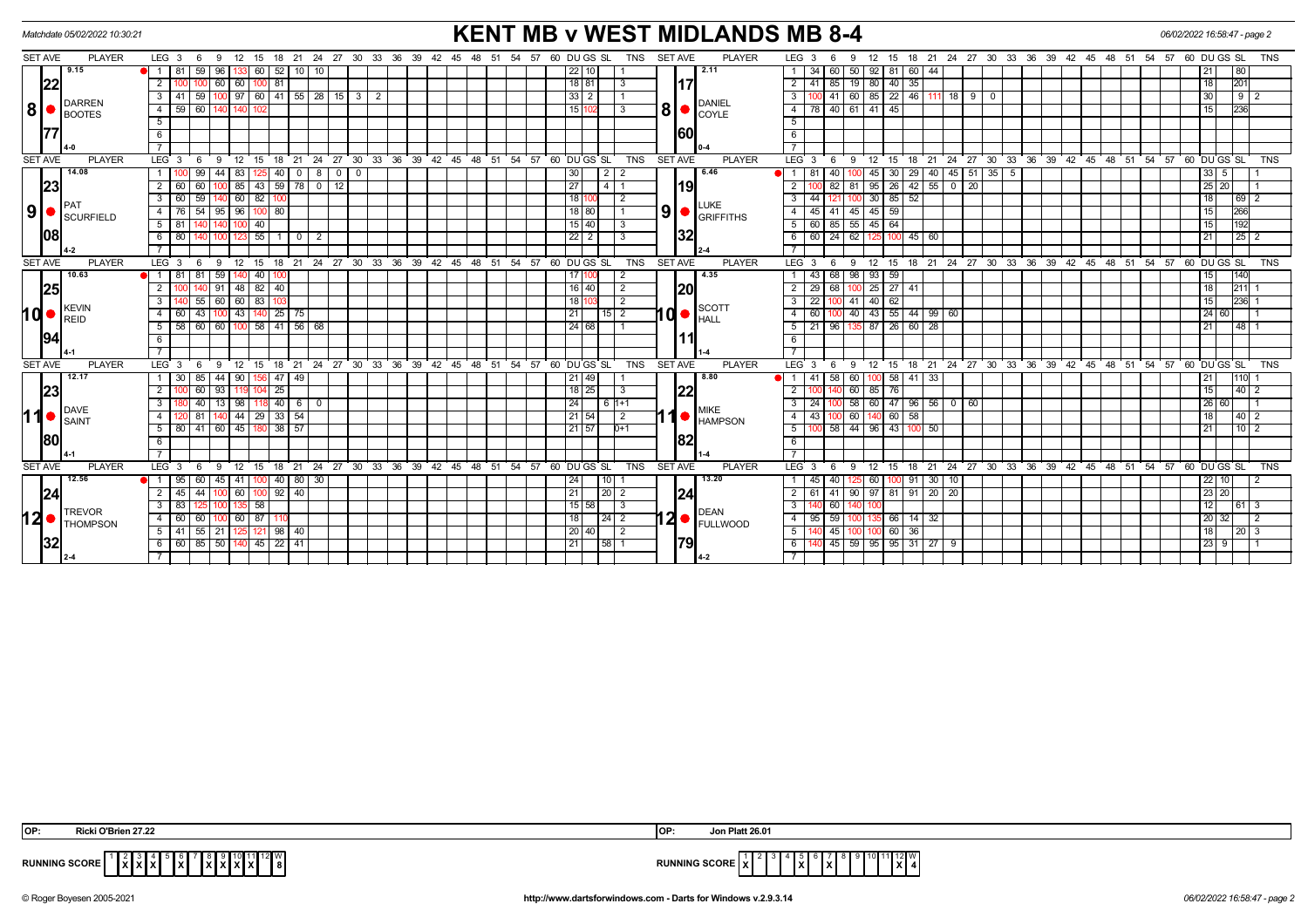| <b>KENT MB v WEST MIDLANDS MB 8-4</b><br>Matchdate 05/02/2022 10:30:21<br>06/02/2022 16:58:47 - page 2 |                                |                                                                                                 |                                                                                                                        |                                                                                                                  |  |  |  |  |  |  |
|--------------------------------------------------------------------------------------------------------|--------------------------------|-------------------------------------------------------------------------------------------------|------------------------------------------------------------------------------------------------------------------------|------------------------------------------------------------------------------------------------------------------|--|--|--|--|--|--|
| <b>SET AVE</b>                                                                                         | PLAYER                         | $LEG_36$<br>9<br>12 15                                                                          | <b>SET AVE</b><br>18  21  24  27  30  33  36  39  42  45  48  51  54  57  60  DU GS  SL<br><b>TNS</b><br><b>PLAYER</b> | LEG <sub>3</sub><br>15 18 21 24 27 30 33 36 39 42 45 48 51 54 57 60 DUGS SL<br>-9<br>12<br>TNS<br>6              |  |  |  |  |  |  |
|                                                                                                        | 9.15                           | 59<br>$52$   10   10<br>  81 I<br>96<br>60                                                      | 2.11<br>22   10                                                                                                        | 34<br>50 <sub>1</sub><br>92 81<br>60 44<br>21<br>80<br>60                                                        |  |  |  |  |  |  |
| 22                                                                                                     |                                | 60<br>81<br>$\overline{2}$<br>60                                                                | <b>117</b><br>18 81<br>3                                                                                               | 19 80 40<br>$2 \mid 41$<br>85<br>35<br>18<br>201                                                                 |  |  |  |  |  |  |
|                                                                                                        |                                | $41 \mid 59$<br>$100$   97   60   41   55   28   15   3   2<br>$\mathbf{3}$                     | $33$   2                                                                                                               | $41$ 60 85 22 46 111 18 9<br>30<br>$92$<br>3 I<br>0                                                              |  |  |  |  |  |  |
| 8 <sup>1</sup>                                                                                         | <b>DARREN</b><br><b>BOOTES</b> | $\overline{4}$<br>59 I<br>60                                                                    | <b>DANIEL</b><br>$8 \cdot \frac{1}{100}$<br>15 <sup>2</sup><br>3                                                       | 40 61 41 45<br>236<br>4   78<br>15                                                                               |  |  |  |  |  |  |
|                                                                                                        |                                | 5                                                                                               |                                                                                                                        | 5                                                                                                                |  |  |  |  |  |  |
|                                                                                                        |                                | 6                                                                                               | 160                                                                                                                    | 6                                                                                                                |  |  |  |  |  |  |
|                                                                                                        |                                |                                                                                                 |                                                                                                                        |                                                                                                                  |  |  |  |  |  |  |
| <b>SET AVE</b>                                                                                         | <b>PLAYER</b>                  | LEG <sup>3</sup><br>- 6<br>- 9<br>12 15<br>18                                                   | SET AVE<br><b>PLAYER</b><br>21 24 27 30 33 36 39 42 45 48 51 54 57 60 DUGS SL<br><b>TNS</b>                            | 12 15 18 21 24 27 30 33 36 39 42 45 48 51 54 57 60 DUGS SL<br>$LEG \ 3$<br><b>TNS</b><br>- 6<br>- 9              |  |  |  |  |  |  |
|                                                                                                        | 14.08                          | $99$ 44 83<br>40<br>$\overline{0}$                                                              | 6.46<br>30 <sub>l</sub>                                                                                                | $145$ 51 35 5<br>40<br>45 30<br>29 40<br>$33 \mid 5 \mid$<br>$\bullet$ 1 81                                      |  |  |  |  |  |  |
| 23                                                                                                     |                                | 85 43 59 78 0 12<br>$\overline{2}$<br>60                                                        | 27<br> 19 <br>14 I 1                                                                                                   | 26<br>$25$   $20$  <br>82<br>95<br>$42 \mid 55$<br>$0$   20<br>81                                                |  |  |  |  |  |  |
|                                                                                                        |                                | $140$ 60 82<br>60 59<br>$\mathbf{3}$<br>100                                                     | 1811<br>$\sqrt{2}$                                                                                                     | $100$ 30 85 52<br>$3 \mid 44$<br>18<br>$\left  \frac{69}{2} \right $<br>121                                      |  |  |  |  |  |  |
| 9  <sub>•</sub>                                                                                        | SCURFIELD                      | 96   100   80<br>54<br>95<br>76 I                                                               | LUKE<br> 9 <br>18 80<br>GRIFFITHS                                                                                      | $45 \mid 59$<br>266<br>4 <sup>1</sup><br>41<br>$45 \vert$<br>15<br>45 I                                          |  |  |  |  |  |  |
|                                                                                                        |                                | $100$ 40<br>5<br>-81 I                                                                          | $15$ 40<br>3                                                                                                           | 5   60   85   55   45   64<br>15<br>1192                                                                         |  |  |  |  |  |  |
|                                                                                                        |                                | 123 55 1<br>-80 I<br>6<br>$\overline{\phantom{0}}$ 0 $\overline{\phantom{0}}$<br>$\overline{2}$ | 32<br>2212<br>-3                                                                                                       | 6 60 24 62 125<br>21<br>$\boxed{25}$ $\boxed{2}$<br>100<br>45 60                                                 |  |  |  |  |  |  |
|                                                                                                        |                                |                                                                                                 |                                                                                                                        |                                                                                                                  |  |  |  |  |  |  |
| <b>SET AVE</b>                                                                                         | <b>PLAYER</b>                  | $12$ 15<br>18 21 24 27 30 33 36 39 42 45<br>LEG <sup>3</sup><br>9<br>- 6                        | SET AVE<br>48 51 54 57 60 DUGS SL<br><b>TNS</b><br><b>PLAYER</b>                                                       | LEG <sub>3</sub><br>12 15 18 21 24 27 30 33 36 39 42 45 48 51 54 57 60 DUGS SL<br><b>TNS</b><br><b>9</b><br>- 6  |  |  |  |  |  |  |
|                                                                                                        | 10.63                          | 81<br>59<br>40<br>$\blacksquare$<br>81                                                          | 4.35<br>1711<br>$\overline{2}$                                                                                         | 68 98<br>93   59<br>140<br>43<br>15<br>-1 L                                                                      |  |  |  |  |  |  |
| 25                                                                                                     |                                | 48 82 40<br>91                                                                                  | 20 <br>$16$ 40<br>$\overline{2}$                                                                                       | $25 \overline{27}$<br>18<br>2 <sup>1</sup><br>29<br>68<br>211<br>41                                              |  |  |  |  |  |  |
|                                                                                                        |                                | 60<br>$60$ 83<br>55<br>3                                                                        | 18 <sub>1</sub><br>$\overline{2}$                                                                                      | $\overline{140}$<br>62<br>22<br>41<br>15<br>$ 236 $ 1<br>3 I                                                     |  |  |  |  |  |  |
| <b>Md•</b>                                                                                             | <b>KEVIN</b><br><b>REID</b>    | 43   140   25   75<br>43<br>-60 I<br>4<br>100                                                   | <b>SCOTT</b><br>$10$ $\bullet$ $\stackrel{\text{3001}}{\text{HALL}}$<br>21<br>$15$ 2                                   | 100 40 43 55 44 99 60<br> 24 60 <br>$4 \overline{60}$                                                            |  |  |  |  |  |  |
|                                                                                                        |                                | 100 58 41 56 68<br>58<br>60<br>60<br>5                                                          | 24 68                                                                                                                  | $87$ 26<br>96<br>$60 \mid 28$<br>$148$   1<br>5 21<br>21                                                         |  |  |  |  |  |  |
| 194                                                                                                    |                                | -6                                                                                              |                                                                                                                        | 6                                                                                                                |  |  |  |  |  |  |
|                                                                                                        |                                |                                                                                                 |                                                                                                                        | $\overline{7}$                                                                                                   |  |  |  |  |  |  |
| <b>SET AVE</b>                                                                                         | <b>PLAYER</b>                  | $LEG_3$<br>$12 \quad 15$<br>18<br>- 6<br>-9                                                     | 21 24 27 30 33 36 39 42 45 48 51 54 57 60 DUGS SL<br><b>SET AVE</b><br><b>PLAYER</b><br><b>TNS</b>                     | 15 18 21 24 27 30 33 36 39 42 45 48 51 54 57 60 DUGS SL<br>LEG <sub>3</sub><br><b>9</b><br>12<br><b>TNS</b><br>6 |  |  |  |  |  |  |
|                                                                                                        | 12.17                          | 85<br>44<br>90<br>47<br>$\sqrt{49}$<br>30 <sup>1</sup>                                          | 8.80<br>21 49                                                                                                          | $58$ 60<br>100 58<br>$41 \overline{\smash{)}33}$<br>21<br>1110                                                   |  |  |  |  |  |  |
| 23                                                                                                     |                                | 25<br>60<br>2<br>93                                                                             | 22 <br>$18$   25 <br>3                                                                                                 | 85 76<br>15<br>2 <sup>1</sup><br>60 I<br> 40 2                                                                   |  |  |  |  |  |  |
|                                                                                                        | DAVE                           | 40<br>3<br>40<br>-98 I<br>13<br>  6                                                             | 24 <sub>1</sub><br>6 11+1<br><b>MIKE</b>                                                                               | 58<br>47<br>60 I<br>96 56<br> 26 60 <br>3 I<br>$0$   60<br>-24                                                   |  |  |  |  |  |  |
| 11●                                                                                                    | SAINT                          | 44 29 33 54<br>81<br>4                                                                          | 21 54<br>$\vert 2 \vert$<br><b>O</b> HAMPSON                                                                           | 100 60 140 60<br>58<br>4 4 4 3<br>18<br> 40 2                                                                    |  |  |  |  |  |  |
|                                                                                                        |                                | $38 \mid 57$<br>41<br>60<br>45<br>5<br>80 I                                                     | 21 57<br>$0+1$                                                                                                         | 58 44<br>96 43<br>5 <sup>1</sup><br>21<br>  10   2<br>100 50                                                     |  |  |  |  |  |  |
| 180                                                                                                    |                                | 6                                                                                               | 82                                                                                                                     | 6                                                                                                                |  |  |  |  |  |  |
|                                                                                                        |                                |                                                                                                 |                                                                                                                        |                                                                                                                  |  |  |  |  |  |  |
| SET AVE                                                                                                | <b>PLAYER</b>                  | $LEG_3$<br>$12 \quad 15$<br>18<br>- 6<br>9                                                      | 21 24 27 30 33 36 39 42 45 48 51 54 57 60 DUGS SL<br><b>SET AVE</b><br><b>PLAYER</b><br><b>TNS</b>                     | 18 21 24 27 30 33 36 39 42 45 48 51 54 57 60 DUGS SL<br>LEG <sub>3</sub><br>9<br>12<br>15<br><b>TNS</b><br>6     |  |  |  |  |  |  |
|                                                                                                        | 12.56                          | 95 I<br>60<br>45<br>41   100<br>40 80 30                                                        | 13.20<br>24<br>$10$   1                                                                                                | $22$   10  <br>40<br>60 <sub>1</sub><br>100 91 30<br> 10 <br>2                                                   |  |  |  |  |  |  |
| 24                                                                                                     |                                | 60   100<br>$92$   40<br>$\overline{2}$<br>44<br>45 I                                           | 24 <br> 20 2<br>211                                                                                                    | 90 97 81 91 20 20<br>23 20<br>$2 \mid 61$<br>41                                                                  |  |  |  |  |  |  |
|                                                                                                        | <b>TREVOR</b>                  | 3<br>-83 I<br>135   58                                                                          | 15 58<br>l 3<br>DEAN                                                                                                   | 3<br>60<br>12 <br> 61 3                                                                                          |  |  |  |  |  |  |
| 12                                                                                                     | <b>THOMPSON</b>                | $60$ 87<br>60<br>$\overline{4}$<br>60                                                           | $12$ $\bullet$ $FULLWOOD$<br>18 <sup>1</sup>                                                                           | 59<br>135 66<br>$14 \overline{\smash)32}$<br> 20 32 <br>4<br>95<br>$\vert$ 2                                     |  |  |  |  |  |  |
|                                                                                                        |                                | 125 121 98 40<br>$5$ 41 55 21                                                                   | 20 40 <br>$\overline{2}$                                                                                               | 100 60 36<br>$5 \mid$<br>$45$ 100<br>18<br>$\vert$ 20 $\vert$ 3                                                  |  |  |  |  |  |  |
| 32                                                                                                     |                                | 60 85 50 140 45 22 41<br>6                                                                      | 79 <br> 58 1<br>  21                                                                                                   | $45 \mid 59 \mid 95 \mid 95 \mid 31 \mid 27 \mid 9$<br> 23   ९  <br>6 I<br>$\overline{1}$ 1                      |  |  |  |  |  |  |
|                                                                                                        |                                |                                                                                                 |                                                                                                                        |                                                                                                                  |  |  |  |  |  |  |

| <b>IOP:</b><br>i O'Brien 27.22                 | <b>Platt 26.01</b><br>lop<br>Jon                |
|------------------------------------------------|-------------------------------------------------|
| $\sim$<br>$\sim$<br>וחשטכ<br>$\mathbf{L}$<br>. | <br><b>RUN</b><br>.<br>- SLUNC<br>. .<br>$\sim$ |